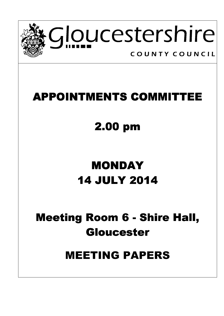

### **APPOINTMENTS COMMITTEE**

# 2.00 pm

## MONDAY 14 JULY 2014 JULY 2014

### Meeting Room 6 - Shire Hall, Gloucester Gloucester

### MEETING PAPERS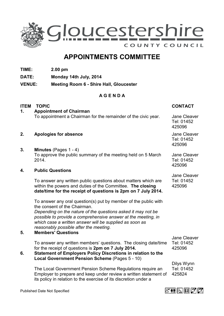

### APPOINTMENTS COMMITTEE

- TIME: 2.00 pm
- DATE: Monday 14th July, 2014
- VENUE: Meeting Room 6 Shire Hall, Gloucester

#### A G E N D A

| <b>ITEM</b> | <b>TOPIC</b>                                                                                                                                                                                                                       | <b>CONTACT</b>                       |
|-------------|------------------------------------------------------------------------------------------------------------------------------------------------------------------------------------------------------------------------------------|--------------------------------------|
| 1.          | <b>Appointment of Chairman</b>                                                                                                                                                                                                     |                                      |
|             | To appointment a Chairman for the remainder of the civic year.                                                                                                                                                                     | Jane Cleaver<br>Tel: 01452<br>425096 |
| 2.          | Apologies for absence                                                                                                                                                                                                              | Jane Cleaver<br>Tel: 01452<br>425096 |
| 3.          | Minutes (Pages 1 - 4)                                                                                                                                                                                                              |                                      |
|             | To approve the public summary of the meeting held on 5 March<br>2014.                                                                                                                                                              | Jane Cleaver<br>Tel: 01452<br>425096 |
| 4.          | <b>Public Questions</b>                                                                                                                                                                                                            |                                      |
|             |                                                                                                                                                                                                                                    | Jane Cleaver                         |
|             | To answer any written public questions about matters which are<br>within the powers and duties of the Committee. The closing<br>date/time for the receipt of questions is 2pm on 7 July 2014.                                      | Tel: 01452<br>425096                 |
|             | To answer any oral question(s) put by member of the public with<br>the consent of the Chairman.                                                                                                                                    |                                      |
|             | Depending on the nature of the questions asked it may not be<br>possible to provide a comprehensive answer at the meeting, in<br>which case a written answer will be supplied as soon as<br>reasonably possible after the meeting. |                                      |
| 5.          | <b>Members' Questions</b>                                                                                                                                                                                                          | Jane Cleaver                         |
| 6.          | To answer any written members' questions. The closing date/time<br>for the receipt of questions is 2pm on 7 July 2014.<br>Statement of Employers Policy Discretions in relation to the                                             | Tel: 01452<br>425096                 |
|             | Local Government Pension Scheme (Pages 5 - 10)                                                                                                                                                                                     |                                      |
|             |                                                                                                                                                                                                                                    | Dilys Wynn                           |
|             | The Local Government Pension Scheme Regulations require an<br>Employer to prepare and keep under review a written statement of<br>its policy in relation to the exercise of its discretion under a                                 | Tel: 01452<br>425824                 |



Published Date Not Specified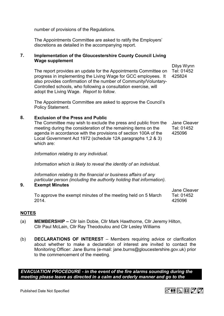number of provisions of the Regulations.

The Appointments Committee are asked to ratify the Employers' discretions as detailed in the accompanying report.

#### 7. Implementation of the Gloucestershire County Council Living Wage supplement

The report provides an update for the Appointments Committee on progress in implementing the Living Wage for GCC employees. It also provides confirmation of the number of Community/Voluntary-Controlled schools, who following a consultation exercise, will adopt the Living Wage. Report to follow.

The Appointments Committee are asked to approve the Council's Policy Statement.

#### 8. Exclusion of the Press and Public

 The Committee may wish to exclude the press and public from the meeting during the consideration of the remaining items on the agenda in accordance with the provisions of section 100A of the Local Government Act 1972 (schedule 12A paragraphs 1,2 & 3) which are: Jane Cleaver Tel: 01452 425096

Information relating to any individual.

Information which is likely to reveal the identity of an individual.

Information relating to the financial or business affairs of any particular person (including the authority holding that information).

#### 9. Exempt Minutes

To approve the exempt minutes of the meeting held on 5 March 2014.

#### NOTES

- (a) MEMBERSHIP Cllr Iain Dobie, Cllr Mark Hawthorne, Cllr Jeremy Hilton, Cllr Paul McLain, Cllr Ray Theodoulou and Cllr Lesley Williams
- (b) DECLARATIONS OF INTEREST Members requiring advice or clarification about whether to make a declaration of interest are invited to contact the Monitoring Officer: Jane Burns (e-mail: jane.burns@gloucestershire.gov.uk) prior to the commencement of the meeting.

EVACUATION PROCEDURE - in the event of the fire alarms sounding during the meeting please leave as directed in a calm and orderly manner and go to the

#### Dilys Wynn Tel: 01452 425824

Jane Cleaver Tel: 01452 425096